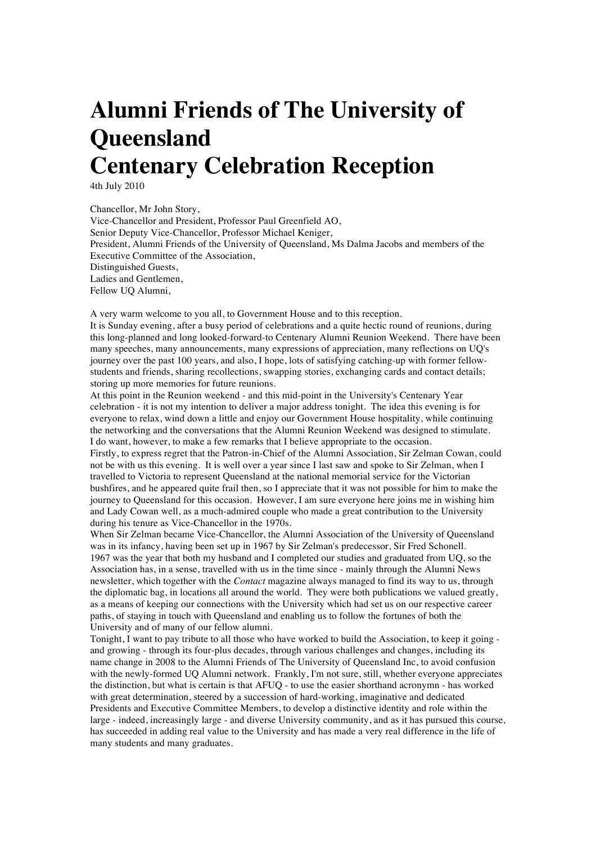## **Alumni Friends of The University of Queensland Centenary Celebration Reception**

4th July 2010

Chancellor, Mr John Story, Vice-Chancellor and President, Professor Paul Greenfield AO, Senior Deputy Vice-Chancellor, Professor Michael Keniger, President, Alumni Friends of the University of Queensland, Ms Dalma Jacobs and members of the Executive Committee of the Association, Distinguished Guests, Ladies and Gentlemen, Fellow UQ Alumni,

A very warm welcome to you all, to Government House and to this reception.

It is Sunday evening, after a busy period of celebrations and a quite hectic round of reunions, during this long-planned and long looked-forward-to Centenary Alumni Reunion Weekend. There have been many speeches, many announcements, many expressions of appreciation, many reflections on UQ's journey over the past 100 years, and also, I hope, lots of satisfying catching-up with former fellowstudents and friends, sharing recollections, swapping stories, exchanging cards and contact details; storing up more memories for future reunions.

At this point in the Reunion weekend - and this mid-point in the University's Centenary Year celebration - it is not my intention to deliver a major address tonight. The idea this evening is for everyone to relax, wind down a little and enjoy our Government House hospitality, while continuing the networking and the conversations that the Alumni Reunion Weekend was designed to stimulate. I do want, however, to make a few remarks that I believe appropriate to the occasion.

Firstly, to express regret that the Patron-in-Chief of the Alumni Association, Sir Zelman Cowan, could not be with us this evening. It is well over a year since I last saw and spoke to Sir Zelman, when I travelled to Victoria to represent Queensland at the national memorial service for the Victorian bushfires, and he appeared quite frail then, so I appreciate that it was not possible for him to make the journey to Queensland for this occasion. However, I am sure everyone here joins me in wishing him and Lady Cowan well, as a much-admired couple who made a great contribution to the University during his tenure as Vice-Chancellor in the 1970s.

When Sir Zelman became Vice-Chancellor, the Alumni Association of the University of Queensland was in its infancy, having been set up in 1967 by Sir Zelman's predecessor, Sir Fred Schonell. 1967 was the year that both my husband and I completed our studies and graduated from UQ, so the Association has, in a sense, travelled with us in the time since - mainly through the Alumni News newsletter, which together with the *Contact* magazine always managed to find its way to us, through the diplomatic bag, in locations all around the world. They were both publications we valued greatly, as a means of keeping our connections with the University which had set us on our respective career paths, of staying in touch with Queensland and enabling us to follow the fortunes of both the University and of many of our fellow alumni.

Tonight, I want to pay tribute to all those who have worked to build the Association, to keep it going and growing - through its four-plus decades, through various challenges and changes, including its name change in 2008 to the Alumni Friends of The University of Queensland Inc, to avoid confusion with the newly-formed UQ Alumni network. Frankly, I'm not sure, still, whether everyone appreciates the distinction, but what is certain is that AFUQ - to use the easier shorthand acronymn - has worked with great determination, steered by a succession of hard-working, imaginative and dedicated Presidents and Executive Committee Members, to develop a distinctive identity and role within the large - indeed, increasingly large - and diverse University community, and as it has pursued this course, has succeeded in adding real value to the University and has made a very real difference in the life of many students and many graduates.